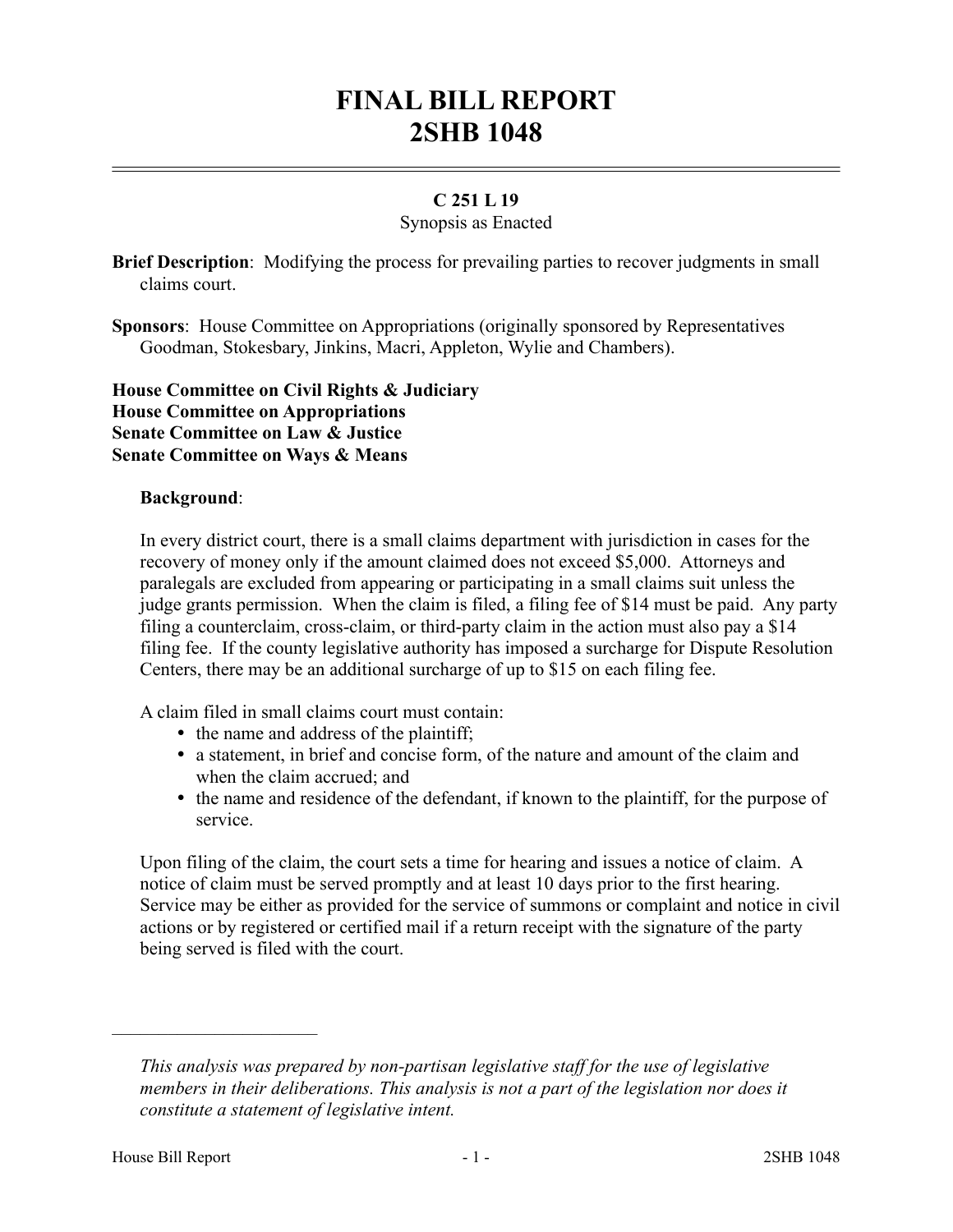# **FINAL BILL REPORT 2SHB 1048**

## **C 251 L 19**

#### Synopsis as Enacted

**Brief Description**: Modifying the process for prevailing parties to recover judgments in small claims court.

**Sponsors**: House Committee on Appropriations (originally sponsored by Representatives Goodman, Stokesbary, Jinkins, Macri, Appleton, Wylie and Chambers).

### **House Committee on Civil Rights & Judiciary House Committee on Appropriations Senate Committee on Law & Justice Senate Committee on Ways & Means**

#### **Background**:

In every district court, there is a small claims department with jurisdiction in cases for the recovery of money only if the amount claimed does not exceed \$5,000. Attorneys and paralegals are excluded from appearing or participating in a small claims suit unless the judge grants permission. When the claim is filed, a filing fee of \$14 must be paid. Any party filing a counterclaim, cross-claim, or third-party claim in the action must also pay a \$14 filing fee. If the county legislative authority has imposed a surcharge for Dispute Resolution Centers, there may be an additional surcharge of up to \$15 on each filing fee.

A claim filed in small claims court must contain:

- the name and address of the plaintiff;
- a statement, in brief and concise form, of the nature and amount of the claim and when the claim accrued; and
- the name and residence of the defendant, if known to the plaintiff, for the purpose of service.

Upon filing of the claim, the court sets a time for hearing and issues a notice of claim. A notice of claim must be served promptly and at least 10 days prior to the first hearing. Service may be either as provided for the service of summons or complaint and notice in civil actions or by registered or certified mail if a return receipt with the signature of the party being served is filed with the court.

––––––––––––––––––––––

*This analysis was prepared by non-partisan legislative staff for the use of legislative members in their deliberations. This analysis is not a part of the legislation nor does it constitute a statement of legislative intent.*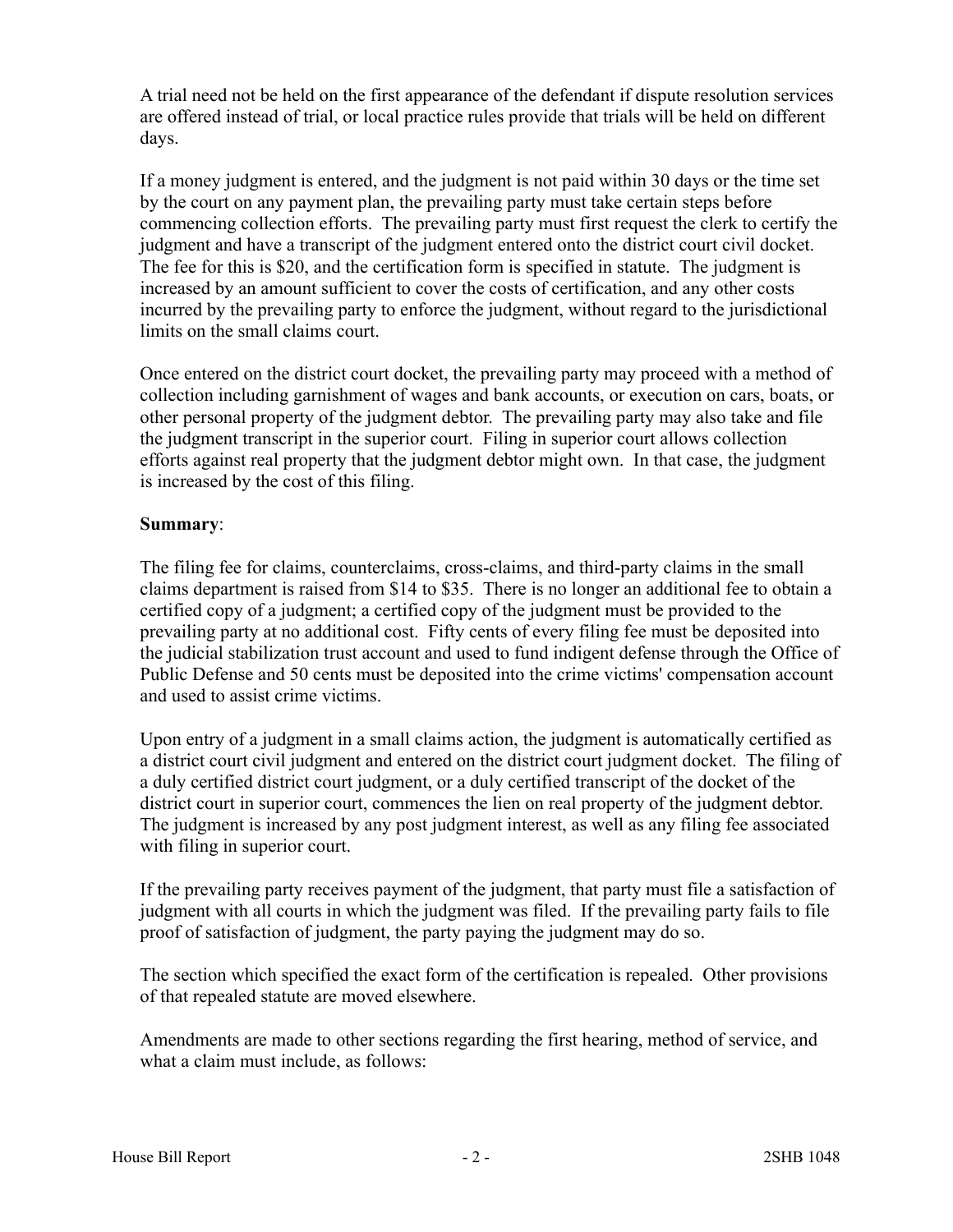A trial need not be held on the first appearance of the defendant if dispute resolution services are offered instead of trial, or local practice rules provide that trials will be held on different days.

If a money judgment is entered, and the judgment is not paid within 30 days or the time set by the court on any payment plan, the prevailing party must take certain steps before commencing collection efforts. The prevailing party must first request the clerk to certify the judgment and have a transcript of the judgment entered onto the district court civil docket. The fee for this is \$20, and the certification form is specified in statute. The judgment is increased by an amount sufficient to cover the costs of certification, and any other costs incurred by the prevailing party to enforce the judgment, without regard to the jurisdictional limits on the small claims court.

Once entered on the district court docket, the prevailing party may proceed with a method of collection including garnishment of wages and bank accounts, or execution on cars, boats, or other personal property of the judgment debtor. The prevailing party may also take and file the judgment transcript in the superior court. Filing in superior court allows collection efforts against real property that the judgment debtor might own. In that case, the judgment is increased by the cost of this filing.

# **Summary**:

The filing fee for claims, counterclaims, cross-claims, and third-party claims in the small claims department is raised from \$14 to \$35. There is no longer an additional fee to obtain a certified copy of a judgment; a certified copy of the judgment must be provided to the prevailing party at no additional cost. Fifty cents of every filing fee must be deposited into the judicial stabilization trust account and used to fund indigent defense through the Office of Public Defense and 50 cents must be deposited into the crime victims' compensation account and used to assist crime victims.

Upon entry of a judgment in a small claims action, the judgment is automatically certified as a district court civil judgment and entered on the district court judgment docket. The filing of a duly certified district court judgment, or a duly certified transcript of the docket of the district court in superior court, commences the lien on real property of the judgment debtor. The judgment is increased by any post judgment interest, as well as any filing fee associated with filing in superior court.

If the prevailing party receives payment of the judgment, that party must file a satisfaction of judgment with all courts in which the judgment was filed. If the prevailing party fails to file proof of satisfaction of judgment, the party paying the judgment may do so.

The section which specified the exact form of the certification is repealed. Other provisions of that repealed statute are moved elsewhere.

Amendments are made to other sections regarding the first hearing, method of service, and what a claim must include, as follows: